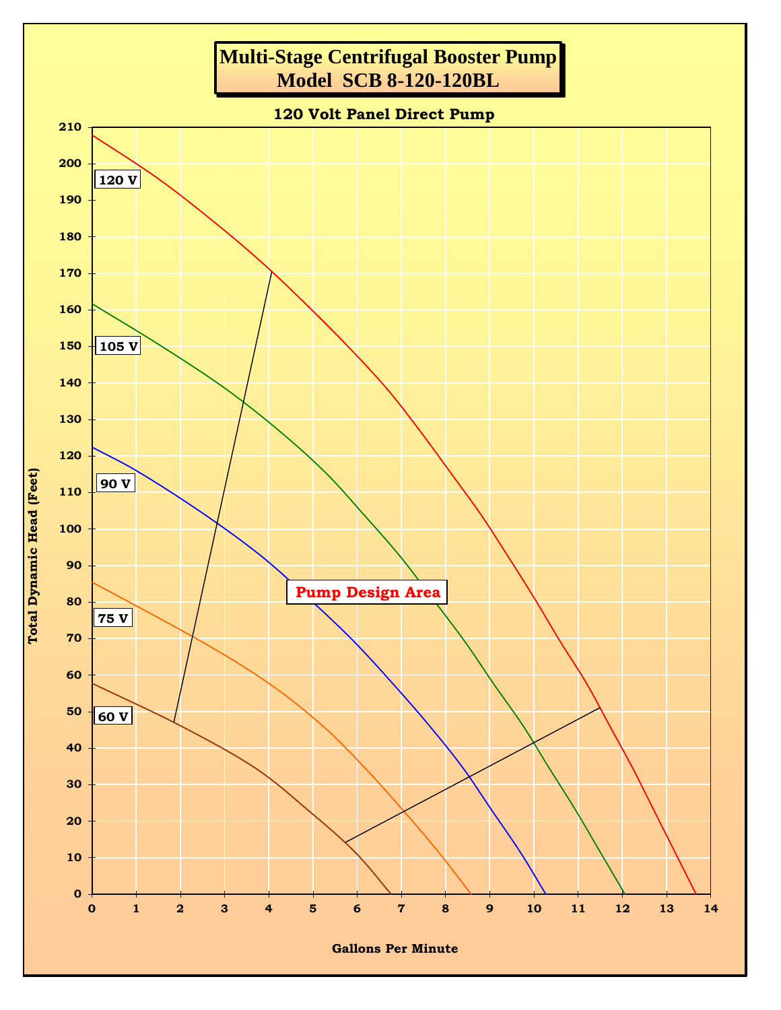